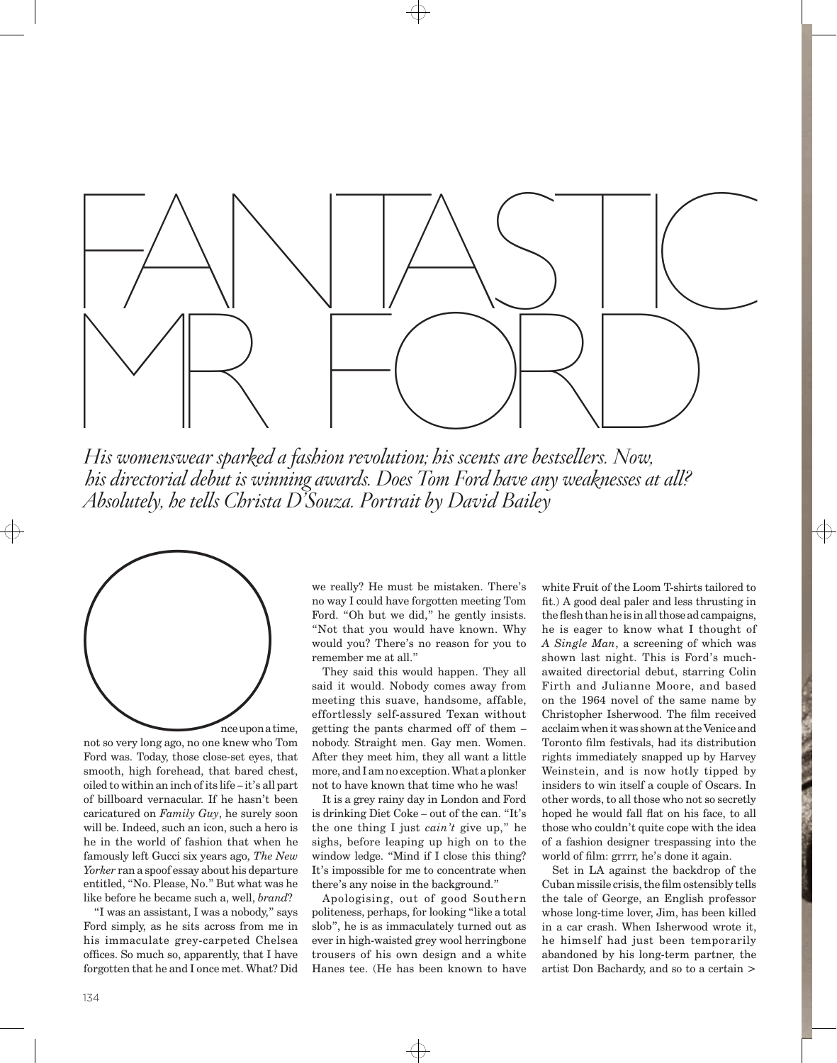

*His womenswear sparked a fashion revolution; his scents are bestsellers. Now, his directorial debut is winning awards. Does Tom Ford have any weaknesses at all? Absolutely, he tells Christa D'Souza. Portrait by David Bailey*



not so very long ago, no one knew who Tom Ford was. Today, those close-set eyes, that smooth, high forehead, that bared chest, oiled to within an inch of its life – it's all part of billboard vernacular. If he hasn't been caricatured on *Family Guy*, he surely soon will be. Indeed, such an icon, such a hero is he in the world of fashion that when he famously left Gucci six years ago, *The New Yorker* ran a spoof essay about his departure entitled, "No. Please, No." But what was he like before he became such a, well, *brand*?

"I was an assistant, I was a nobody," says Ford simply, as he sits across from me in his immaculate grey-carpeted Chelsea offices. So much so, apparently, that I have forgotten that he and I once met. What? Did

we really? He must be mistaken. There's no way I could have forgotten meeting Tom Ford. "Oh but we did," he gently insists. "Not that you would have known. Why would you? There's no reason for you to remember me at all."

They said this would happen. They all said it would. Nobody comes away from meeting this suave, handsome, affable, effortlessly self-assured Texan without getting the pants charmed off of them – nobody. Straight men. Gay men. Women. After they meet him, they all want a little more, and I am no exception. What a plonker not to have known that time who he was!

It is a grey rainy day in London and Ford is drinking Diet Coke – out of the can. "It's the one thing I just *cain't* give up," he sighs, before leaping up high on to the window ledge. "Mind if I close this thing? It's impossible for me to concentrate when there's any noise in the background."

Apologising, out of good Southern politeness, perhaps, for looking "like a total slob", he is as immaculately turned out as ever in high-waisted grey wool herringbone trousers of his own design and a white Hanes tee. (He has been known to have white Fruit of the Loom T-shirts tailored to fit.) A good deal paler and less thrusting in the flesh than he is in all those ad campaigns, he is eager to know what I thought of *A Single Man*, a screening of which was shown last night. This is Ford's muchawaited directorial debut, starring Colin Firth and Julianne Moore, and based on the 1964 novel of the same name by Christopher Isherwood. The film received acclaim when it was shown at the Venice and Toronto film festivals, had its distribution rights immediately snapped up by Harvey Weinstein, and is now hotly tipped by insiders to win itself a couple of Oscars. In other words, to all those who not so secretly hoped he would fall flat on his face, to all those who couldn't quite cope with the idea of a fashion designer trespassing into the world of film: grrrr, he's done it again.

Set in LA against the backdrop of the Cuban missile crisis, the film ostensibly tells the tale of George, an English professor whose long-time lover, Jim, has been killed in a car crash. When Isherwood wrote it, he himself had just been temporarily abandoned by his long-term partner, the artist Don Bachardy, and so to a certain >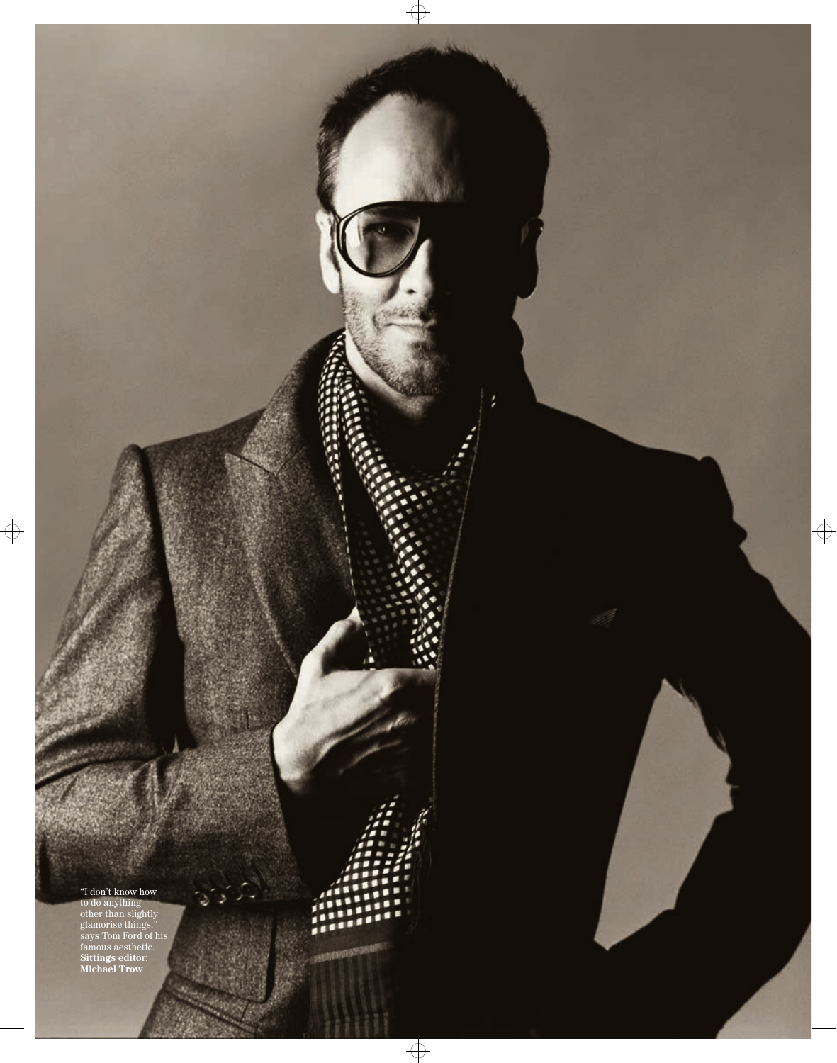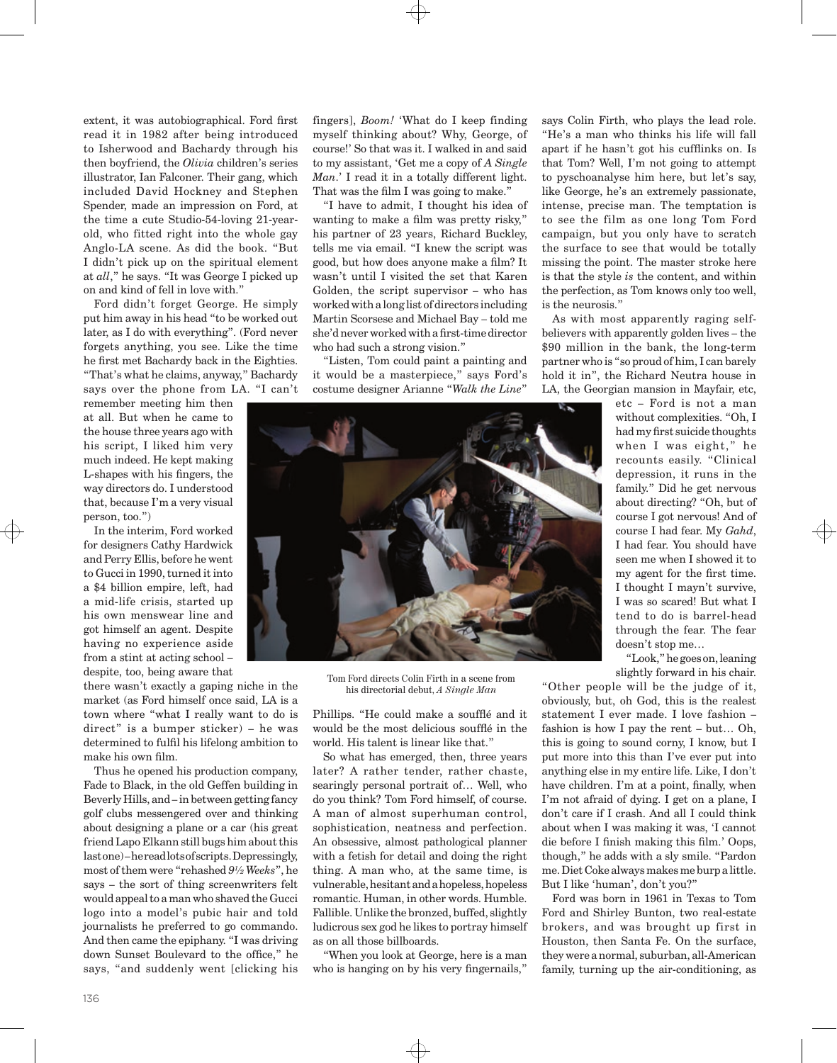extent, it was autobiographical. Ford first read it in 1982 after being introduced to Isherwood and Bachardy through his then boyfriend, the *Olivia* children's series illustrator, Ian Falconer. Their gang, which included David Hockney and Stephen Spender, made an impression on Ford, at the time a cute Studio-54-loving 21-yearold, who fitted right into the whole gay Anglo-LA scene. As did the book. "But I didn't pick up on the spiritual element at *all*," he says. "It was George I picked up on and kind of fell in love with."

Ford didn't forget George. He simply put him away in his head "to be worked out later, as I do with everything". (Ford never forgets anything, you see. Like the time he first met Bachardy back in the Eighties. "That's what he claims, anyway," Bachardy says over the phone from LA. "I can't

remember meeting him then at all. But when he came to the house three years ago with his script, I liked him very much indeed. He kept making L-shapes with his fingers, the way directors do. I understood that, because I'm a very visual person, too.")

In the interim, Ford worked for designers Cathy Hardwick and Perry Ellis, before he went to Gucci in 1990, turned it into a \$4 billion empire, left, had a mid-life crisis, started up his own menswear line and got himself an agent. Despite having no experience aside from a stint at acting school – despite, too, being aware that

there wasn't exactly a gaping niche in the market (as Ford himself once said, LA is a town where "what I really want to do is direct" is a bumper sticker) – he was determined to fulfil his lifelong ambition to make his own film.

Thus he opened his production company, Fade to Black, in the old Geffen building in Beverly Hills, and – in between getting fancy golf clubs messengered over and thinking about designing a plane or a car (his great friend Lapo Elkann still bugs him about this last one) – he read lots of scripts. Depressingly, most of them were "rehashed *9½ Weeks*", he says – the sort of thing screenwriters felt would appeal to a man who shaved the Gucci logo into a model's pubic hair and told journalists he preferred to go commando. And then came the epiphany. "I was driving down Sunset Boulevard to the office," he says, "and suddenly went [clicking his fingers], *Boom!* 'What do I keep finding myself thinking about? Why, George, of course!' So that was it. I walked in and said to my assistant, 'Get me a copy of *A Single Man*.' I read it in a totally different light. That was the film I was going to make."

"I have to admit, I thought his idea of wanting to make a film was pretty risky," his partner of 23 years, Richard Buckley, tells me via email. "I knew the script was good, but how does anyone make a film? It wasn't until I visited the set that Karen Golden, the script supervisor – who has worked with a long list of directors including Martin Scorsese and Michael Bay – told me she'd never worked with a first-time director who had such a strong vision."

"Listen, Tom could paint a painting and it would be a masterpiece," says Ford's costume designer Arianne "*Walk the Line*" says Colin Firth, who plays the lead role. "He's a man who thinks his life will fall apart if he hasn't got his cufflinks on. Is that Tom? Well, I'm not going to attempt to pyschoanalyse him here, but let's say, like George, he's an extremely passionate, intense, precise man. The temptation is to see the film as one long Tom Ford campaign, but you only have to scratch the surface to see that would be totally missing the point. The master stroke here is that the style *is* the content, and within the perfection, as Tom knows only too well, is the neurosis."

As with most apparently raging selfbelievers with apparently golden lives – the \$90 million in the bank, the long-term partner who is "so proud of him, I can barely hold it in", the Richard Neutra house in LA, the Georgian mansion in Mayfair, etc,



Tom Ford directs Colin Firth in a scene from his directorial debut, *A Single Man*

Phillips. "He could make a soufflé and it would be the most delicious soufflé in the world. His talent is linear like that."

So what has emerged, then, three years later? A rather tender, rather chaste, searingly personal portrait of… Well, who do you think? Tom Ford himself, of course. A man of almost superhuman control, sophistication, neatness and perfection. An obsessive, almost pathological planner with a fetish for detail and doing the right thing. A man who, at the same time, is vulnerable, hesitant and a hopeless, hopeless romantic. Human, in other words. Humble. Fallible. Unlike the bronzed, buffed, slightly ludicrous sex god he likes to portray himself as on all those billboards.

"When you look at George, here is a man who is hanging on by his very fingernails,"

etc – Ford is not a man without complexities. "Oh, I had my first suicide thoughts when I was eight," he recounts easily. "Clinical depression, it runs in the family." Did he get nervous about directing? "Oh, but of course I got nervous! And of course I had fear. My *Gahd*, I had fear. You should have seen me when I showed it to my agent for the first time. I thought I mayn't survive, I was so scared! But what I tend to do is barrel-head through the fear. The fear doesn't stop me…

"Look," he goes on, leaning slightly forward in his chair.

"Other people will be the judge of it, obviously, but, oh God, this is the realest statement I ever made. I love fashion – fashion is how I pay the rent – but… Oh, this is going to sound corny, I know, but I put more into this than I've ever put into anything else in my entire life. Like, I don't have children. I'm at a point, finally, when I'm not afraid of dying. I get on a plane, I don't care if I crash. And all I could think about when I was making it was, 'I cannot die before I finish making this film.' Oops, though," he adds with a sly smile. "Pardon me. Diet Coke always makes me burp a little. But I like 'human', don't you?"

Ford was born in 1961 in Texas to Tom Ford and Shirley Bunton, two real-estate brokers, and was brought up first in Houston, then Santa Fe. On the surface, they were a normal, suburban, all-American family, turning up the air-conditioning, as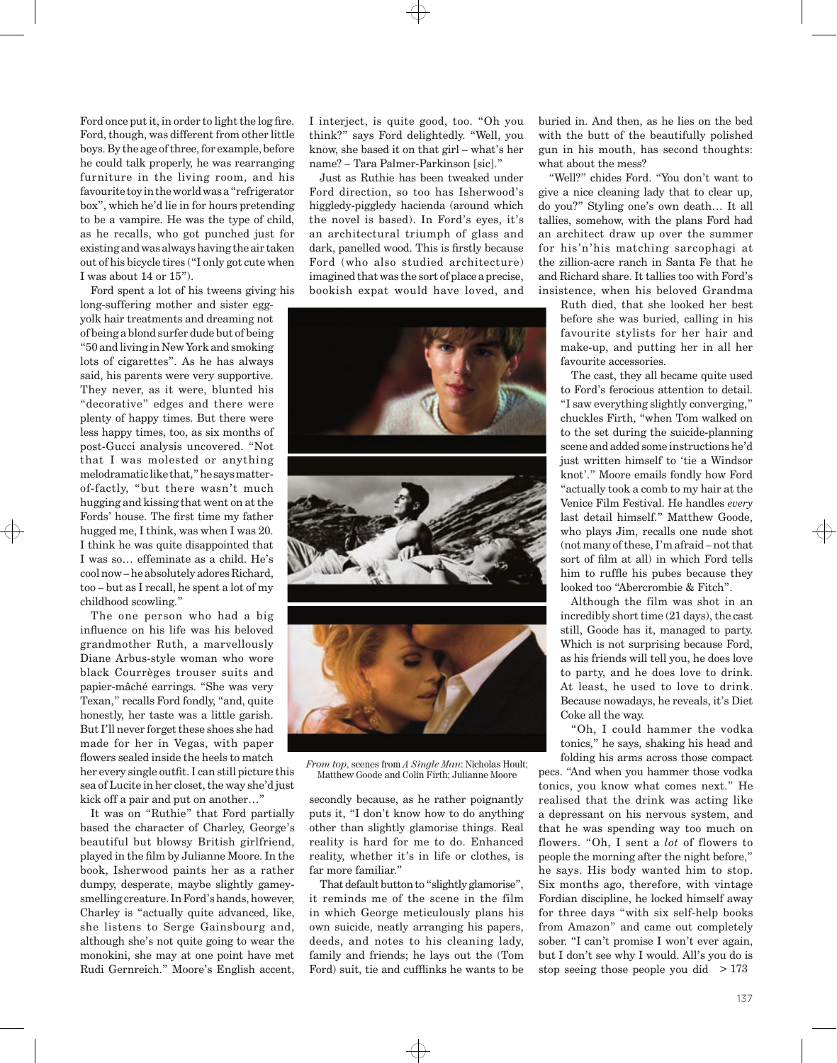Ford once put it, in order to light the log fire. Ford, though, was different from other little boys. By the age of three, for example, before he could talk properly, he was rearranging furniture in the living room, and his favourite toy in the world was a "refrigerator box", which he'd lie in for hours pretending to be a vampire. He was the type of child, as he recalls, who got punched just for existing and was always having the air taken out of his bicycle tires ("I only got cute when I was about 14 or 15").

Ford spent a lot of his tweens giving his

long-suffering mother and sister eggyolk hair treatments and dreaming not of being a blond surfer dude but of being "50 and living in New York and smoking lots of cigarettes". As he has always said, his parents were very supportive. They never, as it were, blunted his "decorative" edges and there were plenty of happy times. But there were less happy times, too, as six months of post-Gucci analysis uncovered. "Not that I was molested or anything melodramatic like that," he says matterof-factly, "but there wasn't much hugging and kissing that went on at the Fords' house. The first time my father hugged me, I think, was when I was 20. I think he was quite disappointed that I was so… effeminate as a child. He's cool now – he absolutely adores Richard, too – but as I recall, he spent a lot of my childhood scowling."

The one person who had a big influence on his life was his beloved grandmother Ruth, a marvellously Diane Arbus-style woman who wore black Courrèges trouser suits and papier-mâché earrings. "She was very Texan," recalls Ford fondly, "and, quite honestly, her taste was a little garish. But I'll never forget these shoes she had made for her in Vegas, with paper flowers sealed inside the heels to match her every single outfit. I can still picture this sea of Lucite in her closet, the way she'd just kick off a pair and put on another…"

It was on "Ruthie" that Ford partially based the character of Charley, George's beautiful but blowsy British girlfriend, played in the film by Julianne Moore. In the book, Isherwood paints her as a rather dumpy, desperate, maybe slightly gameysmelling creature. In Ford's hands, however, Charley is "actually quite advanced, like, she listens to Serge Gainsbourg and, although she's not quite going to wear the monokini, she may at one point have met Rudi Gernreich." Moore's English accent,

I interject, is quite good, too. "Oh you think?" says Ford delightedly. "Well, you know, she based it on that girl – what's her name? – Tara Palmer-Parkinson [sic]."

Just as Ruthie has been tweaked under Ford direction, so too has Isherwood's higgledy-piggledy hacienda (around which the novel is based). In Ford's eyes, it's an architectural triumph of glass and dark, panelled wood. This is firstly because Ford (who also studied architecture) imagined that was the sort of place a precise, bookish expat would have loved, and



*From top*, scenes from *A Single Man*: Nicholas Hoult; Matthew Goode and Colin Firth; Julianne Moore

secondly because, as he rather poignantly puts it, "I don't know how to do anything other than slightly glamorise things. Real reality is hard for me to do. Enhanced reality, whether it's in life or clothes, is far more familiar."

That default button to "slightly glamorise", it reminds me of the scene in the film in which George meticulously plans his own suicide, neatly arranging his papers, deeds, and notes to his cleaning lady, family and friends; he lays out the (Tom Ford) suit, tie and cufflinks he wants to be

buried in. And then, as he lies on the bed with the butt of the beautifully polished gun in his mouth, has second thoughts: what about the mess?

"Well?" chides Ford. "You don't want to give a nice cleaning lady that to clear up, do you?" Styling one's own death… It all tallies, somehow, with the plans Ford had an architect draw up over the summer for his'n'his matching sarcophagi at the zillion-acre ranch in Santa Fe that he and Richard share. It tallies too with Ford's insistence, when his beloved Grandma

Ruth died, that she looked her best before she was buried, calling in his favourite stylists for her hair and make-up, and putting her in all her favourite accessories.

The cast, they all became quite used to Ford's ferocious attention to detail. "I saw everything slightly converging," chuckles Firth, "when Tom walked on to the set during the suicide-planning scene and added some instructions he'd just written himself to 'tie a Windsor knot'." Moore emails fondly how Ford "actually took a comb to my hair at the Venice Film Festival. He handles *every* last detail himself." Matthew Goode, who plays Jim, recalls one nude shot (not many of these, I'm afraid – not that sort of film at all) in which Ford tells him to ruffle his pubes because they looked too "Abercrombie & Fitch".

Although the film was shot in an incredibly short time (21 days), the cast still, Goode has it, managed to party. Which is not surprising because Ford, as his friends will tell you, he does love to party, and he does love to drink. At least, he used to love to drink. Because nowadays, he reveals, it's Diet Coke all the way.

"Oh, I could hammer the vodka tonics," he says, shaking his head and folding his arms across those compact

pecs. "And when you hammer those vodka tonics, you know what comes next." He realised that the drink was acting like a depressant on his nervous system, and that he was spending way too much on flowers. "Oh, I sent a *lot* of flowers to people the morning after the night before," he says. His body wanted him to stop. Six months ago, therefore, with vintage Fordian discipline, he locked himself away for three days "with six self-help books from Amazon" and came out completely sober. "I can't promise I won't ever again, but I don't see why I would. All's you do is stop seeing those people you did > 173